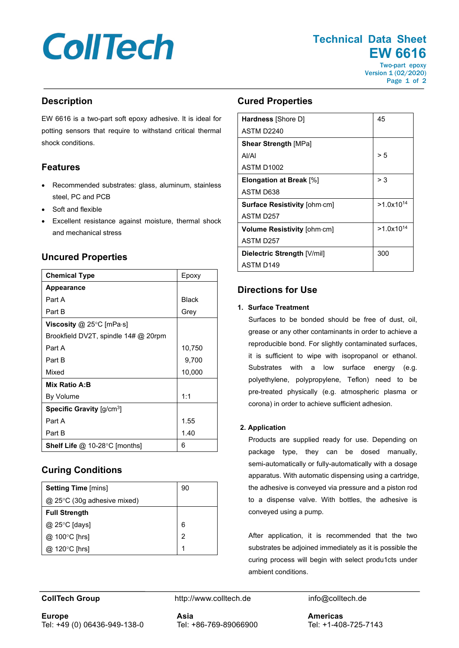# **CollTech**

**Technical Data Sheet EW 6616** Two-part epoxy Version 1 (02/2020)

Page 1 of 2

# **Description**

EW 6616 is a two-part soft epoxy adhesive. It is ideal for potting sensors that require to withstand critical thermal shock conditions.

# **Features**

- Recommended substrates: glass, aluminum, stainless steel, PC and PCB
- Soft and flexible
- Excellent resistance against moisture, thermal shock and mechanical stress

# **Uncured Properties**

| <b>Chemical Type</b>                    | Epoxy        |
|-----------------------------------------|--------------|
| <b>Appearance</b>                       |              |
| Part A                                  | <b>Black</b> |
| Part B                                  | Grey         |
| <b>Viscosity</b> @ 25°C [mPa $\cdot$ s] |              |
| Brookfield DV2T, spindle 14# @ 20rpm    |              |
| Part A                                  | 10,750       |
| Part B                                  | 9,700        |
| Mixed                                   | 10,000       |
| Mix Ratio A:B                           |              |
| By Volume                               | 1:1          |
| Specific Gravity $[g/cm^3]$             |              |
| Part A                                  | 1.55         |
| Part B                                  | 1.40         |
| <b>Shelf Life @ 10-28 °C [months]</b>   | 6            |

# **Curing Conditions**

| <b>Setting Time [mins]</b>       | 90 |
|----------------------------------|----|
| $@$ 25 $°C$ (30g adhesive mixed) |    |
| <b>Full Strength</b>             |    |
| @ 25°C [days]                    | 6  |
| $@$ 100 $°C$ [hrs]               | 2  |
| @ 120°C [hrs]                    |    |

# **Cured Properties**

| <b>Hardness</b> [Shore D]           | 45             |
|-------------------------------------|----------------|
| ASTM D2240                          |                |
| <b>Shear Strength [MPa]</b>         |                |
| Al/Al                               | > 5            |
| ASTM D1002                          |                |
| <b>Elongation at Break [%]</b>      | > 3            |
| ASTM D638                           |                |
| <b>Surface Resistivity [ohm.cm]</b> | $>1.0x10^{14}$ |
| ASTM D257                           |                |
| Volume Resistivity [ohm-cm]         | $>1.0x10^{14}$ |
| ASTM D257                           |                |
| Dielectric Strength [V/mil]         | 300            |
| ASTM D <sub>149</sub>               |                |

# **Directions for Use**

#### **1. Surface Treatment**

Surfaces to be bonded should be free of dust, oil, grease or any other contaminants in order to achieve a reproducible bond. For slightly contaminated surfaces, it is sufficient to wipe with isopropanol or ethanol. Substrates with a low surface energy (e.g. polyethylene, polypropylene, Teflon) need to be pre-treated physically (e.g. atmospheric plasma or corona) in order to achieve sufficient adhesion.

### **2. Application**

Products are supplied ready for use. Depending on package type, they can be dosed manually, semi-automatically or fully-automatically with a dosage apparatus. With automatic dispensing using a cartridge, the adhesive is conveyed via pressure and a piston rod to a dispense valve. With bottles, the adhesive is conveyed using a pump.

After application, it is recommended that the two substrates be adjoined immediately as it is possible the curing process will begin with select produ1cts under ambient conditions.

**CollTech Group http://www.colltech.de** info@colltech.de

**Europe** Tel: +49 (0) 06436-949-138-0 **Asia** Tel: +86-769-89066900 **Americas** Tel: +1-408-725-7143